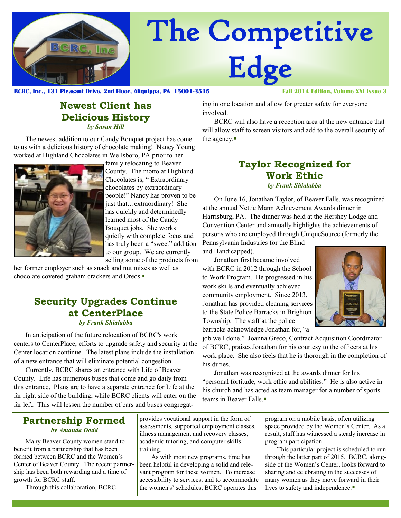

# The Competitive Edge

**BCRC, Inc., 131 Pleasant Drive, 2nd Floor, Aliquippa, PA 15001-3515 Fall 2014 Edition, Volume XXI Issue 3**

#### **Newest Client has Delicious History** *by Susan Hill*

The newest addition to our Candy Bouquet project has come to us with a delicious history of chocolate making! Nancy Young worked at Highland Chocolates in Wellsboro, PA prior to her



family relocating to Beaver County. The motto at Highland Chocolates is, " Extraordinary chocolates by extraordinary people!" Nancy has proven to be just that…extraordinary! She has quickly and determinedly learned most of the Candy Bouquet jobs. She works quietly with complete focus and has truly been a "sweet" addition to our group. We are currently selling some of the products from

her former employer such as snack and nut mixes as well as chocolate covered graham crackers and Oreos.

## **Security Upgrades Continue at CenterPlace**

*by Frank Shialabba*

In anticipation of the future relocation of BCRC's work centers to CenterPlace, efforts to upgrade safety and security at the Center location continue. The latest plans include the installation of a new entrance that will eliminate potential congestion.

Currently, BCRC shares an entrance with Life of Beaver County. Life has numerous buses that come and go daily from this entrance. Plans are to have a separate entrance for Life at the far right side of the building, while BCRC clients will enter on the far left. This will lessen the number of cars and buses congregat-

#### ing in one location and allow for greater safety for everyone involved.

BCRC will also have a reception area at the new entrance that will allow staff to screen visitors and add to the overall security of the agency.

#### **Taylor Recognized for Work Ethic** *by Frank Shialabba*

On June 16, Jonathan Taylor, of Beaver Falls, was recognized at the annual Nettie Mann Achievement Awards dinner in Harrisburg, PA. The dinner was held at the Hershey Lodge and Convention Center and annually highlights the achievements of persons who are employed through UniqueSource (formerly the

Pennsylvania Industries for the Blind and Handicapped).

Jonathan first became involved with BCRC in 2012 through the School to Work Program. He progressed in his work skills and eventually achieved community employment. Since 2013, Jonathan has provided cleaning services to the State Police Barracks in Brighton Township. The staff at the police barracks acknowledge Jonathan for, "a



job well done." Joanna Greco, Contract Acquisition Coordinator of BCRC, praises Jonathan for his courtesy to the officers at his work place. She also feels that he is thorough in the completion of his duties.

Jonathan was recognized at the awards dinner for his "personal fortitude, work ethic and abilities." He is also active in his church and has acted as team manager for a number of sports teams in Beaver Falls.

#### **Partnership Formed** *by Amanda Dodd*

Many Beaver County women stand to benefit from a partnership that has been formed between BCRC and the Women's Center of Beaver County. The recent partnership has been both rewarding and a time of growth for BCRC staff.

Through this collaboration, BCRC

provides vocational support in the form of assessments, supported employment classes, illness management and recovery classes, academic tutoring, and computer skills training.

As with most new programs, time has been helpful in developing a solid and relevant program for these women. To increase accessibility to services, and to accommodate the women's' schedules, BCRC operates this

program on a mobile basis, often utilizing space provided by the Women's Center. As a result, staff has witnessed a steady increase in program participation.

This particular project is scheduled to run through the latter part of 2015. BCRC, alongside of the Women's Center, looks forward to sharing and celebrating in the successes of many women as they move forward in their lives to safety and independence.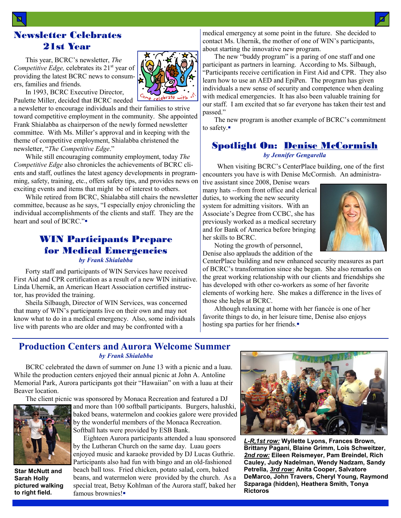#### Newsletter Celebrates 21st Year

This year, BCRC's newsletter, *The Competitive Edge, celebrates its* 21<sup>st</sup> year of providing the latest BCRC news to consumers, families and friends.



In 1993, BCRC Executive Director, Paulette Miller, decided that BCRC needed

a newsletter to encourage individuals and their families to strive toward competitive employment in the community. She appointed Frank Shialabba as chairperson of the newly formed newsletter committee. With Ms. Miller's approval and in keeping with the theme of competitive employment, Shialabba christened the newsletter, "*The Competitive Edge*."

While still encouraging community employment, today *The Competitive Edge* also chronicles the achievements of BCRC clients and staff, outlines the latest agency developments in programming, safety, training, etc., offers safety tips, and provides news on exciting events and items that might be of interest to others.

While retired from BCRC, Shialabba still chairs the newsletter committee, because as he says, "I especially enjoy chronicling the individual accomplishments of the clients and staff. They are the heart and soul of BCRC."

#### WIN Participants Prepare for Medical Emergencies *by Frank Shialabba*

Forty staff and participants of WIN Services have received First Aid and CPR certification as a result of a new WIN initiative. Linda Uhernik, an American Heart Association certified instructor, has provided the training.

Sheila Silbaugh, Director of WIN Services, was concerned that many of WIN's participants live on their own and may not know what to do in a medical emergency. Also, some individuals live with parents who are older and may be confronted with a

medical emergency at some point in the future. She decided to contact Ms. Uhernik, the mother of one of WIN's participants, about starting the innovative new program.

The new "buddy program" is a paring of one staff and one participant as partners in learning. According to Ms. Silbaugh, "Participants receive certification in First Aid and CPR. They also learn how to use an AED and EpiPen. The program has given individuals a new sense of security and competence when dealing with medical emergencies. It has also been valuable training for our staff. I am excited that so far everyone has taken their test and passed."

The new program is another example of BCRC's commitment to safety.

#### Spotlight On: Denise McCormish *by Jennifer Gengarella*

When visiting BCRC's CenterPlace building, one of the first encounters you have is with Denise McCormish. An administra-

tive assistant since 2008, Denise wears many hats --from front office and clerical duties, to working the new security system for admitting visitors. With an Associate's Degree from CCBC, she has previously worked as a medical secretary and for Bank of America before bringing her skills to BCRC.



Noting the growth of personnel, Denise also applauds the addition of the

CenterPlace building and new enhanced security measures as part of BCRC's transformation since she began. She also remarks on the great working relationship with our clients and friendships she has developed with other co-workers as some of her favorite elements of working here. She makes a difference in the lives of those she helps at BCRC.

Although relaxing at home with her fiancée is one of her favorite things to do, in her leisure time, Denise also enjoys hosting spa parties for her friends.

#### **Production Centers and Aurora Welcome Summer** *by Frank Shialabba*

BCRC celebrated the dawn of summer on June 13 with a picnic and a luau. While the production centers enjoyed their annual picnic at John A. Antoline Memorial Park, Aurora participants got their "Hawaiian" on with a luau at their Beaver location.

The client picnic was sponsored by Monaca Recreation and featured a DJ



**Star McNutt and Sarah Holly pictured walking to right field.**

and more than 100 softball participants. Burgers, halushki, baked beans, watermelon and cookies galore were provided by the wonderful members of the Monaca Recreation. Softball hats were provided by ESB Bank.

 Eighteen Aurora participants attended a luau sponsored by the Lutheran Church on the same day. Luau goers enjoyed music and karaoke provided by DJ Lucas Guthrie. Participants also had fun with bingo and an old-fashioned beach ball toss. Fried chicken, potato salad, corn, baked beans, and watermelon were provided by the church. As a special treat, Betsy Kohlman of the Aurora staff, baked her famous brownies!



*L-R,1st row:* **Wyllette Lyons, Frances Brown, Brittany Pagani, Blaine Grimm, Lois Schweitzer,**  *2nd row:* **Eileen Reismeyer, Pam Breindel, Rich Cauley, Judy Nadelman, Wendy Nadzam, Sandy Petrella,** *3rd row:* **Anita Cooper, Salvatore DeMarco, John Travers, Cheryl Young, Raymond Szparaga (hidden), Heathera Smith, Tonya Rictoros**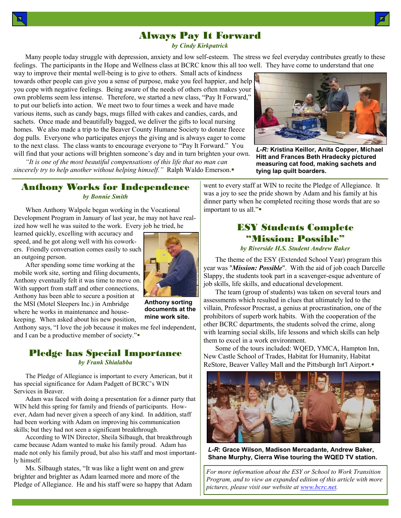### Always Pay It Forward

*by Cindy Kirkpatrick*

Many people today struggle with depression, anxiety and low self-esteem. The stress we feel everyday contributes greatly to these feelings. The participants in the Hope and Wellness class at BCRC know this all too well. They have come to understand that one

way to improve their mental well-being is to give to others. Small acts of kindness towards other people can give you a sense of purpose, make you feel happier, and help you cope with negative feelings. Being aware of the needs of others often makes your own problems seem less intense. Therefore, we started a new class, "Pay It Forward," to put our beliefs into action. We meet two to four times a week and have made various items, such as candy bags, mugs filled with cakes and candies, cards, and sachets. Once made and beautifully bagged, we deliver the gifts to local nursing homes. We also made a trip to the Beaver County Humane Society to donate fleece dog pulls. Everyone who participates enjoys the giving and is always eager to come to the next class. The class wants to encourage everyone to "Pay It Forward." You will find that your actions will brighten someone's day and in turn brighten your own.

*"It is one of the most beautiful compensations of this life that no man can sincerely try to help another without helping himself."* Ralph Waldo Emerson.



*L-R:* **Kristina Keillor, Anita Copper, Michael Hitt and Frances Beth Hradecky pictured measuring cat food, making sachets and tying lap quilt boarders.**

#### Anthony Works for Independence *by Bonnie Smith*

When Anthony Walpole began working in the Vocational Development Program in January of last year, he may not have realized how well he was suited to the work. Every job he tried, he

learned quickly, excelling with accuracy and speed, and he got along well with his coworkers. Friendly conversation comes easily to such an outgoing person.

After spending some time working at the mobile work site, sorting and filing documents, Anthony eventually felt it was time to move on. With support from staff and other connections, Anthony has been able to secure a position at the MSI (Motel Sleepers Inc.) in Ambridge where he works in maintenance and housekeeping. When asked about his new position,



**Anthony sorting documents at the mine work site.**

Anthony says, "I love the job because it makes me feel independent, and I can be a productive member of society."

#### Pledge has Special Importance *by Frank Shialabba*

The Pledge of Allegiance is important to every American, but it has special significance for Adam Padgett of BCRC's WIN Services in Beaver.

Adam was faced with doing a presentation for a dinner party that WIN held this spring for family and friends of participants. However, Adam had never given a speech of any kind. In addition, staff had been working with Adam on improving his communication skills; but they had not seen a significant breakthrough.

According to WIN Director, Sheila Silbaugh, that breakthrough came because Adam wanted to make his family proud. Adam has made not only his family proud, but also his staff and most importantly himself.

Ms. Silbaugh states, "It was like a light went on and grew brighter and brighter as Adam learned more and more of the Pledge of Allegiance. He and his staff were so happy that Adam

went to every staff at WIN to recite the Pledge of Allegiance. It was a joy to see the pride shown by Adam and his family at his dinner party when he completed reciting those words that are so important to us all."

#### ESY Students Complete "Mission: Possible"

*by Riverside H.S. Student Andrew Baker*

The theme of the ESY (Extended School Year) program this year was "*Mission: Possible*". With the aid of job coach Darcelle Slappy, the students took part in a scavenger-esque adventure of job skills, life skills, and educational development.

The team (group of students) was taken on several tours and assessments which resulted in clues that ultimately led to the villain, Professor Procrast, a genius at procrastination, one of the prohibitors of superb work habits. With the cooperation of the other BCRC departments, the students solved the crime, along with learning social skills, life lessons and which skills can help them to excel in a work environment.

Some of the tours included: WQED, YMCA, Hampton Inn, New Castle School of Trades, Habitat for Humanity, Habitat ReStore, Beaver Valley Mall and the Pittsburgh Int'l Airport.



*L-R***: Grace Wilson, Madison Mercadante, Andrew Baker, Shane Murphy, Cierra Wise touring the WQED TV station.**

*For more information about the ESY or School to Work Transition Program, and to view an expanded edition of this article with more pictures, please visit our website at [www.bcrc.net.](http://www.bcrc.net)*